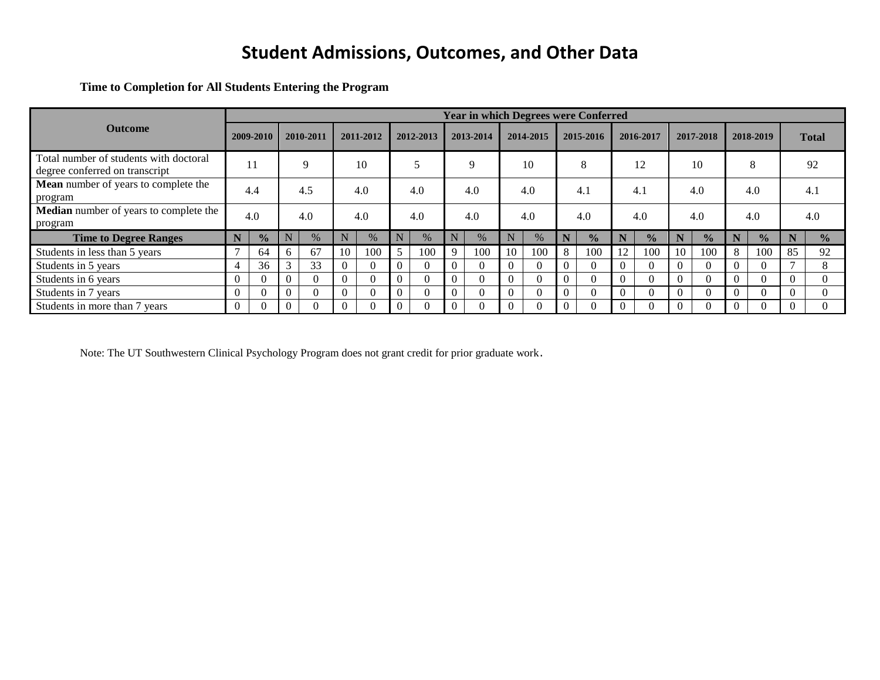**Time to Completion for All Students Entering the Program**

|                                                                          |   |               |    |           |          |           |   |           |             | <b>Year in which Degrees were Conferred</b> |          |           |          |               |          |               |          |               |           |               |              |               |
|--------------------------------------------------------------------------|---|---------------|----|-----------|----------|-----------|---|-----------|-------------|---------------------------------------------|----------|-----------|----------|---------------|----------|---------------|----------|---------------|-----------|---------------|--------------|---------------|
| <b>Outcome</b>                                                           |   | 2009-2010     |    | 2010-2011 |          | 2011-2012 |   | 2012-2013 |             | 2013-2014                                   |          | 2014-2015 |          | 2015-2016     |          | 2016-2017     |          | 2017-2018     | 2018-2019 |               | <b>Total</b> |               |
| Total number of students with doctoral<br>degree conferred on transcript |   | 11            |    | q         |          | 10        |   |           |             | q                                           |          | 10        |          | 8             |          | 12            |          | 10            |           | 8             |              | 92            |
| Mean number of years to complete the<br>program                          |   | 4.4           |    | 4.5       |          | 4.0       |   | 4.0       |             | 4.0                                         |          | 4.0       |          | 4.1           |          | 4.1           |          | 4.0           |           | 4.0           |              | 4.1           |
| Median number of years to complete the<br>program                        |   | 4.0           |    | 4.0       |          | 4.0       |   | 4.0       |             | 4.0                                         |          | 4.0       |          | 4.0           |          | 4.0           |          | 4.0           |           | 4.0           |              | 4.0           |
| <b>Time to Degree Ranges</b>                                             | N | $\frac{1}{2}$ |    | $\%$      |          | $\%$      | N | $\%$      | N           | $\%$                                        | N        | $\%$      | N        | $\frac{0}{0}$ | N        | $\frac{0}{2}$ |          | $\frac{0}{0}$ |           | $\frac{1}{2}$ | N            | $\frac{1}{2}$ |
| Students in less than 5 years                                            |   | 64            | 6. | 67        | 10       | 100       | 5 | 100       | $\mathbf Q$ | 100                                         | 10       | 100       | 8        | 100           | 12       | 100           | 10       | 100           | 8         | 100           | 85           | 92            |
| Students in 5 years                                                      | 4 | 36            |    | 33        | $\Omega$ | 0         | 0 |           |             | O                                           | $\Omega$ |           | $\Omega$ | 0             | $\Omega$ |               |          | $\Omega$      |           | $\Omega$      |              |               |
| Students in 6 years                                                      | 0 |               |    | $\Omega$  | $\Omega$ | $\Omega$  | 0 |           |             | $\Omega$                                    | $\Omega$ |           | $\Omega$ | $\mathbf{U}$  | $\Omega$ |               | $\Omega$ | $\Omega$      |           | $\Omega$      |              |               |
| Students in 7 years                                                      | 0 |               |    |           | $\Omega$ | $\Omega$  | 0 |           |             | $\Omega$                                    | $\Omega$ |           | $\Omega$ |               | $\Omega$ |               |          | $\Omega$      |           | $\Omega$      |              |               |
| Students in more than 7 years                                            | 0 |               |    |           | $\Omega$ | 0         | 0 |           |             | 0                                           |          |           | $\Omega$ | $\theta$      |          |               |          | $\Omega$      |           |               |              |               |

Note: The UT Southwestern Clinical Psychology Program does not grant credit for prior graduate work.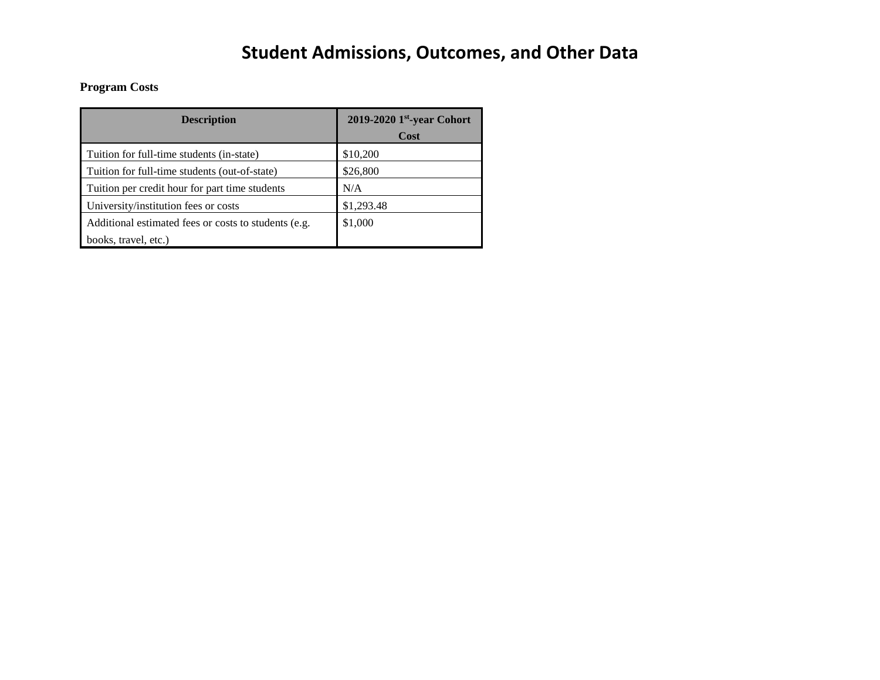### **Program Costs**

| <b>Description</b>                                   | 2019-2020 1st-year Cohort<br>Cost |
|------------------------------------------------------|-----------------------------------|
| Tuition for full-time students (in-state)            | \$10,200                          |
| Tuition for full-time students (out-of-state)        | \$26,800                          |
| Tuition per credit hour for part time students       | N/A                               |
| University/institution fees or costs                 | \$1,293.48                        |
| Additional estimated fees or costs to students (e.g. | \$1,000                           |
| books, travel, etc.)                                 |                                   |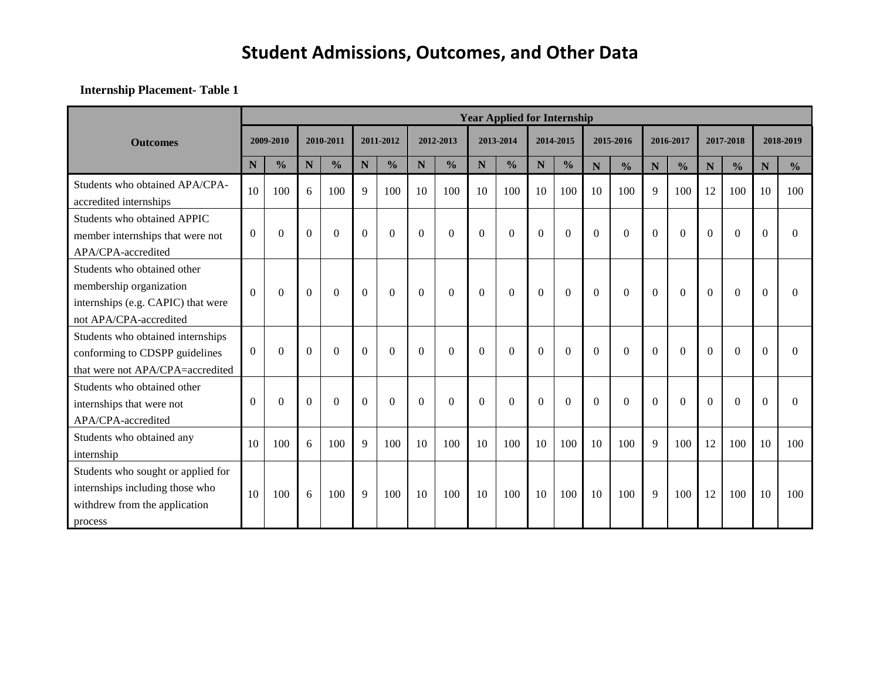#### **Internship Placement- Table 1**

|                                                                                                                        |          |               |                |                  |          |               |          |                  |          | <b>Year Applied for Internship</b> |          |                  |                |                |           |               |           |               |                |               |
|------------------------------------------------------------------------------------------------------------------------|----------|---------------|----------------|------------------|----------|---------------|----------|------------------|----------|------------------------------------|----------|------------------|----------------|----------------|-----------|---------------|-----------|---------------|----------------|---------------|
| <b>Outcomes</b>                                                                                                        |          | 2009-2010     | 2010-2011      |                  |          | 2011-2012     |          | 2012-2013        |          | 2013-2014                          |          | 2014-2015        | 2015-2016      |                | 2016-2017 |               |           | 2017-2018     |                | 2018-2019     |
|                                                                                                                        | N        | $\frac{0}{0}$ | N              | $\frac{0}{0}$    | N        | $\frac{0}{0}$ | N        | $\frac{0}{0}$    | N        | $\frac{0}{0}$                      | N        | $\frac{0}{0}$    | $\mathbf N$    | $\frac{0}{0}$  | ${\bf N}$ | $\frac{0}{0}$ | ${\bf N}$ | $\frac{0}{0}$ | $\mathbf N$    | $\frac{0}{0}$ |
| Students who obtained APA/CPA-<br>accredited internships                                                               | 10       | 100           | 6              | 100              | 9        | 100           | 10       | 100              | 10       | 100                                | 10       | 100              | 10             | 100            | 9         | 100           | 12        | 100           | 10             | 100           |
| Students who obtained APPIC<br>member internships that were not<br>APA/CPA-accredited                                  | $\Omega$ | $\theta$      | $\Omega$       | $\Omega$         | $\Omega$ | $\Omega$      | $\Omega$ | $\theta$         | $\Omega$ | $\theta$                           | $\Omega$ | $\Omega$         | $\Omega$       | $\Omega$       | $\Omega$  | $\Omega$      | $\Omega$  | $\Omega$      | $\Omega$       | 0             |
| Students who obtained other<br>membership organization<br>internships (e.g. CAPIC) that were<br>not APA/CPA-accredited | $\Omega$ | $\Omega$      | $\overline{0}$ | $\boldsymbol{0}$ | $\Omega$ | $\theta$      | $\Omega$ | $\boldsymbol{0}$ | $\Omega$ | $\Omega$                           | $\Omega$ | $\boldsymbol{0}$ | $\overline{0}$ | $\overline{0}$ | $\Omega$  | $\Omega$      | $\theta$  | $\Omega$      | $\overline{0}$ | 0             |
| Students who obtained internships<br>conforming to CDSPP guidelines<br>that were not APA/CPA=accredited                | $\Omega$ | $\Omega$      | $\Omega$       | $\Omega$         | $\Omega$ | $\Omega$      | $\Omega$ | $\theta$         | $\Omega$ | $\theta$                           | $\Omega$ | $\Omega$         | $\Omega$       | $\Omega$       | $\Omega$  | $\Omega$      | $\Omega$  | $\Omega$      | $\Omega$       | 0             |
| Students who obtained other<br>internships that were not<br>APA/CPA-accredited                                         | $\Omega$ | $\theta$      | $\Omega$       | $\Omega$         | $\Omega$ | $\theta$      | $\Omega$ | $\theta$         | $\theta$ | $\theta$                           | $\Omega$ | $\Omega$         | $\Omega$       | $\overline{0}$ | $\Omega$  | $\Omega$      | $\Omega$  | $\Omega$      | $\Omega$       | 0             |
| Students who obtained any<br>internship                                                                                | 10       | 100           | 6              | 100              | 9        | 100           | 10       | 100              | 10       | 100                                | 10       | 100              | 10             | 100            | 9         | 100           | 12        | 100           | 10             | 100           |
| Students who sought or applied for<br>internships including those who<br>withdrew from the application<br>process      | 10       | 100           | 6              | 100              | 9        | 100           | 10       | 100              | 10       | 100                                | 10       | 100              | 10             | 100            | 9         | 100           | 12        | 100           | 10             | 100           |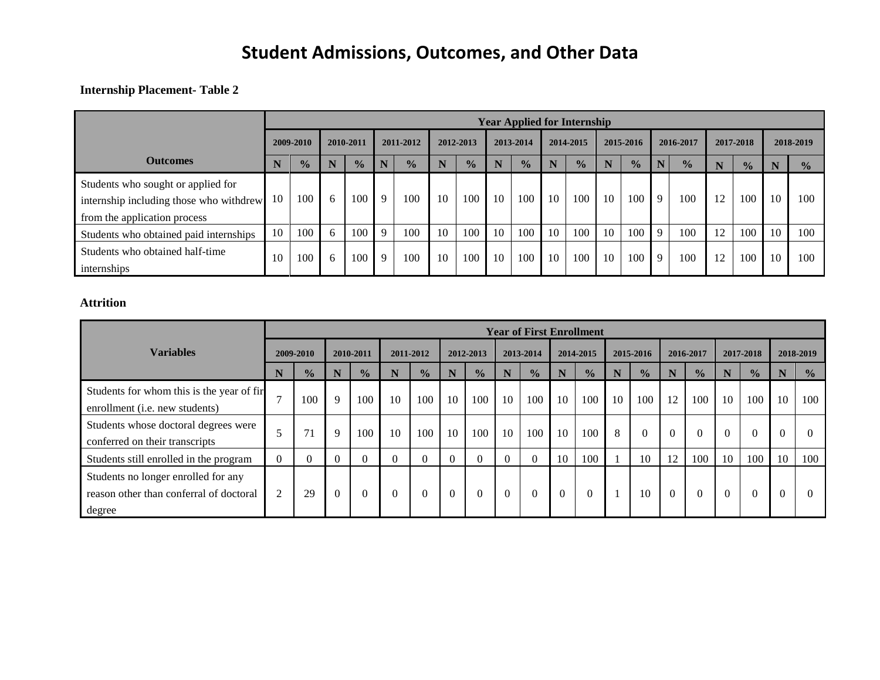#### **Internship Placement- Table 2**

|                                                                                                               |    | <b>Year Applied for Internship</b> |              |               |              |               |    |               |    |               |    |               |    |               |             |               |    |               |    |               |
|---------------------------------------------------------------------------------------------------------------|----|------------------------------------|--------------|---------------|--------------|---------------|----|---------------|----|---------------|----|---------------|----|---------------|-------------|---------------|----|---------------|----|---------------|
|                                                                                                               |    | 2009-2010                          |              | 2010-2011     |              | 2011-2012     |    | 2012-2013     |    | 2013-2014     |    | 2014-2015     |    | 2015-2016     |             | 2016-2017     |    | 2017-2018     |    | 2018-2019     |
| <b>Outcomes</b>                                                                                               | N  | $\frac{1}{2}$                      | N            | $\frac{0}{0}$ |              | $\frac{1}{2}$ |    | $\frac{0}{0}$ | N  | $\frac{0}{0}$ |    | $\frac{1}{2}$ | N  | $\frac{0}{0}$ | N.          | $\frac{0}{0}$ | N  | $\frac{1}{2}$ | N  | $\frac{1}{2}$ |
| Students who sought or applied for<br>internship including those who withdrew<br>from the application process | 10 | 100                                | 6            | 100           | $\mathbf{Q}$ | 100           | 10 | 100           | 10 | 100           | 10 | 100           | 10 | 100           | 9           | 100           | 12 | 100           | 10 | 100           |
| Students who obtained paid internships                                                                        | 10 | 100                                | <sub>6</sub> | 100           |              | 100           | 10 | 100           | 10 | 100           | 10 | 100           | 10 | 100           | $\mathbf Q$ | 100           | 12 | 100           | 10 | 100           |
| Students who obtained half-time<br>internships                                                                | 10 | 100                                | 6            | 100           | $\mathbf{Q}$ | 100           | 10 | 100           | 10 | 100           | 10 | 100           | 10 | 100           | 9           | 100           | 12 | 100           | 10 | 100           |

### **Attrition**

|                                                                                          | <b>Year of First Enrollment</b> |               |   |               |          |               |          |               |    |               |          |               |    |               |           |               |           |               |           |               |
|------------------------------------------------------------------------------------------|---------------------------------|---------------|---|---------------|----------|---------------|----------|---------------|----|---------------|----------|---------------|----|---------------|-----------|---------------|-----------|---------------|-----------|---------------|
| <b>Variables</b>                                                                         |                                 | 2009-2010     |   | 2010-2011     |          | 2011-2012     |          | 2012-2013     |    | 2013-2014     |          | 2014-2015     |    | 2015-2016     | 2016-2017 |               | 2017-2018 |               | 2018-2019 |               |
|                                                                                          | N                               | $\frac{0}{0}$ | N | $\frac{0}{0}$ | N        | $\frac{0}{0}$ | N        | $\frac{0}{0}$ |    | $\frac{1}{2}$ | N        | $\frac{1}{2}$ | N  | $\frac{0}{0}$ | N         | $\frac{1}{2}$ | N         | $\frac{0}{0}$ | N         | $\frac{1}{2}$ |
| Students for whom this is the year of fir<br>enrollment ( <i>i.e.</i> new students)      |                                 | 100           | 9 | 100           | 10       | 100           | 10       | 100           | 10 | 100           | 10       | 100           | 10 | 100           | 12        | 100           | 10        | 100           | 10        | 100           |
| Students whose doctoral degrees were<br>conferred on their transcripts                   |                                 | 71            | 9 | 100           | 10       | 100           | 10       | 100           | 10 | 100           | 10       | 100           | 8  | $\Omega$      |           | $\Omega$      |           | $\Omega$      |           |               |
| Students still enrolled in the program                                                   |                                 |               |   | $\Omega$      | $\Omega$ | $\Omega$      | $\Omega$ | $\theta$      |    | $\theta$      | 10       | 100           |    | 10            | 12        | 100           | 10        | 100           | 10        | 100           |
| Students no longer enrolled for any<br>reason other than conferral of doctoral<br>degree | 2                               | 29            |   | $\Omega$      | $\Omega$ | $\Omega$      | $\Omega$ | $\Omega$      |    | $\theta$      | $\Omega$ | $\Omega$      |    | 10            | $\Omega$  | $\theta$      |           | $\theta$      | v         |               |